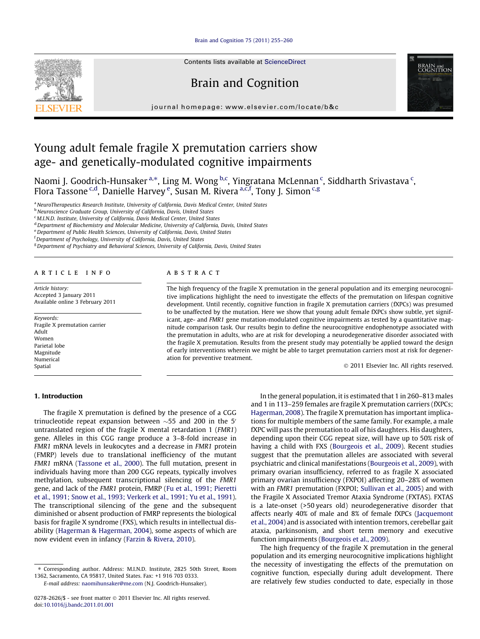[Brain and Cognition 75 \(2011\) 255–260](http://dx.doi.org/10.1016/j.bandc.2011.01.001)



Contents lists available at [ScienceDirect](http://www.sciencedirect.com/science/journal/02782626)

# Brain and Cognition

journal homepage: [www.elsevier.com/locate/b&c](http://www.elsevier.com/locate/b&c)



# Young adult female fragile X premutation carriers show age- and genetically-modulated cognitive impairments

Naomi J. Goodrich-Hunsaker <sup>a,\*</sup>, Ling M. Wong <sup>b,c</sup>, Yingratana McLennan <sup>c</sup>, Siddharth Srivastava <sup>c</sup>, Flora Tassone <sup>c,d</sup>, Danielle Harvey <sup>e</sup>, Susan M. Rivera <sup>a,c,f</sup>, Tony J. Simon <sup>c,g</sup>

<sup>a</sup> NeuroTherapeutics Research Institute, University of California, Davis Medical Center, United States

**b** Neuroscience Graduate Group, University of California, Davis, United States

<sup>c</sup> M.I.N.D. Institute, University of California, Davis Medical Center, United States

<sup>d</sup> Department of Biochemistry and Molecular Medicine, University of California, Davis, United States

e Department of Public Health Sciences, University of California, Davis, United States

<sup>f</sup> Department of Psychology, University of California, Davis, United States

<sup>g</sup> Department of Psychiatry and Behavioral Sciences, University of California, Davis, United States

# article info

Article history: Accepted 3 January 2011 Available online 3 February 2011

Keywords: Fragile X premutation carrier Adult Women Parietal lobe Magnitude Numerical Spatial

# 1. Introduction

# ABSTRACT

The high frequency of the fragile X premutation in the general population and its emerging neurocognitive implications highlight the need to investigate the effects of the premutation on lifespan cognitive development. Until recently, cognitive function in fragile X premutation carriers (fXPCs) was presumed to be unaffected by the mutation. Here we show that young adult female fXPCs show subtle, yet significant, age- and FMR1 gene mutation-modulated cognitive impairments as tested by a quantitative magnitude comparison task. Our results begin to define the neurocognitive endophenotype associated with the premutation in adults, who are at risk for developing a neurodegenerative disorder associated with the fragile X premutation. Results from the present study may potentially be applied toward the design of early interventions wherein we might be able to target premutation carriers most at risk for degeneration for preventive treatment.

- 2011 Elsevier Inc. All rights reserved.

The fragile X premutation is defined by the presence of a CGG trinucleotide repeat expansion between  $\sim$ 55 and 200 in the 5 $^{\prime}$ untranslated region of the fragile X mental retardation 1 (FMR1) gene. Alleles in this CGG range produce a 3–8-fold increase in FMR1 mRNA levels in leukocytes and a decrease in FMR1 protein (FMRP) levels due to translational inefficiency of the mutant FMR1 mRNA ([Tassone et al., 2000](#page-5-0)). The full mutation, present in individuals having more than 200 CGG repeats, typically involves methylation, subsequent transcriptional silencing of the FMR1 gene, and lack of the FMR1 protein, FMRP ([Fu et al., 1991; Pieretti](#page-5-0) [et al., 1991; Snow et al., 1993; Verkerk et al., 1991; Yu et al., 1991\)](#page-5-0). The transcriptional silencing of the gene and the subsequent diminished or absent production of FMRP represents the biological basis for fragile X syndrome (FXS), which results in intellectual disability [\(Hagerman & Hagerman, 2004](#page-5-0)), some aspects of which are now evident even in infancy ([Farzin & Rivera, 2010\)](#page-5-0).

In the general population, it is estimated that 1 in 260–813 males and 1 in 113–259 females are fragile X premutation carriers (fXPCs; [Hagerman, 2008](#page-5-0)). The fragile X premutation has important implications for multiple members of the same family. For example, a male fXPC will pass the premutation to all of his daughters. His daughters, depending upon their CGG repeat size, will have up to 50% risk of having a child with FXS ([Bourgeois et al., 2009\)](#page-4-0). Recent studies suggest that the premutation alleles are associated with several psychiatric and clinical manifestations ([Bourgeois et al., 2009\)](#page-4-0), with primary ovarian insufficiency, referred to as fragile X associated primary ovarian insufficiency (FXPOI) affecting 20–28% of women with an FMR1 premutation (FXPOI; [Sullivan et al., 2005\)](#page-5-0) and with the Fragile X Associated Tremor Ataxia Syndrome (FXTAS). FXTAS is a late-onset (>50 years old) neurodegenerative disorder that affects nearly 40% of male and 8% of female fXPCs ([Jacquemont](#page-5-0) [et al., 2004\)](#page-5-0) and is associated with intention tremors, cerebellar gait ataxia, parkinsonism, and short term memory and executive function impairments ([Bourgeois et al., 2009\)](#page-4-0).

The high frequency of the fragile X premutation in the general population and its emerging neurocognitive implications highlight the necessity of investigating the effects of the premutation on cognitive function, especially during adult development. There are relatively few studies conducted to date, especially in those

<sup>⇑</sup> Corresponding author. Address: M.I.N.D. Institute, 2825 50th Street, Room 1362, Sacramento, CA 95817, United States. Fax: +1 916 703 0333.

E-mail address: [naomihunsaker@me.com](mailto:naomihunsaker@me.com) (N.J. Goodrich-Hunsaker).

<sup>0278-2626/\$ -</sup> see front matter © 2011 Elsevier Inc. All rights reserved. doi[:10.1016/j.bandc.2011.01.001](http://dx.doi.org/10.1016/j.bandc.2011.01.001)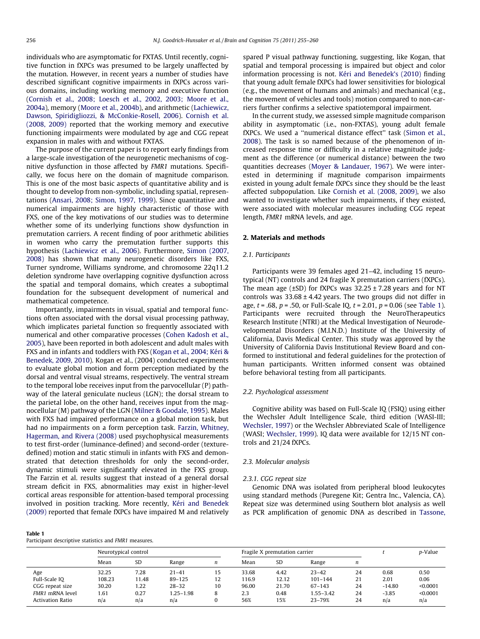<span id="page-1-0"></span>individuals who are asymptomatic for FXTAS. Until recently, cognitive function in fXPCs was presumed to be largely unaffected by the mutation. However, in recent years a number of studies have described significant cognitive impairments in fXPCs across various domains, including working memory and executive function ([Cornish et al., 2008; Loesch et al., 2002, 2003; Moore et al.,](#page-5-0) [2004a\)](#page-5-0), memory [\(Moore et al., 2004b\)](#page-5-0), and arithmetic ([Lachiewicz,](#page-5-0) [Dawson, Spiridigliozzi, & McConkie-Rosell, 2006\)](#page-5-0). [Cornish et al.](#page-5-0) [\(2008, 2009\)](#page-5-0) reported that the working memory and executive functioning impairments were modulated by age and CGG repeat expansion in males with and without FXTAS.

The purpose of the current paper is to report early findings from a large-scale investigation of the neurogenetic mechanisms of cognitive dysfunction in those affected by FMR1 mutations. Specifically, we focus here on the domain of magnitude comparison. This is one of the most basic aspects of quantitative ability and is thought to develop from non-symbolic, including spatial, representations ([Ansari, 2008; Simon, 1997, 1999](#page-4-0)). Since quantitative and numerical impairments are highly characteristic of those with FXS, one of the key motivations of our studies was to determine whether some of its underlying functions show dysfunction in premutation carriers. A recent finding of poor arithmetic abilities in women who carry the premutation further supports this hypothesis ([Lachiewicz et al., 2006](#page-5-0)). Furthermore, [Simon \(2007,](#page-5-0) [2008\)](#page-5-0) has shown that many neurogenetic disorders like FXS, Turner syndrome, Williams syndrome, and chromosome 22q11.2 deletion syndrome have overlapping cognitive dysfunction across the spatial and temporal domains, which creates a suboptimal foundation for the subsequent development of numerical and mathematical competence.

Importantly, impairments in visual, spatial and temporal functions often associated with the dorsal visual processing pathway, which implicates parietal function so frequently associated with numerical and other comparative processes ([Cohen Kadosh et al.,](#page-5-0) [2005\)](#page-5-0), have been reported in both adolescent and adult males with FXS and in infants and toddlers with FXS ([Kogan et al., 2004; Kéri &](#page-5-0) [Benedek, 2009, 2010](#page-5-0)). Kogan et al., (2004) conducted experiments to evaluate global motion and form perception mediated by the dorsal and ventral visual streams, respectively. The ventral stream to the temporal lobe receives input from the parvocellular (P) pathway of the lateral geniculate nucleus (LGN); the dorsal stream to the parietal lobe, on the other hand, receives input from the magnocellular (M) pathway of the LGN ([Milner & Goodale, 1995\)](#page-5-0). Males with FXS had impaired performance on a global motion task, but had no impairments on a form perception task. [Farzin, Whitney,](#page-5-0) [Hagerman, and Rivera \(2008\)](#page-5-0) used psychophysical measurements to test first-order (luminance-defined) and second-order (texturedefined) motion and static stimuli in infants with FXS and demonstrated that detection thresholds for only the second-order, dynamic stimuli were significantly elevated in the FXS group. The Farzin et al. results suggest that instead of a general dorsal stream deficit in FXS, abnormalities may exist in higher-level cortical areas responsible for attention-based temporal processing involved in position tracking. More recently, [Kéri and Benedek](#page-5-0) [\(2009\)](#page-5-0) reported that female fXPCs have impaired M and relatively

Table 1

Participant descriptive statistics and FMR1 measures.

spared P visual pathway functioning, suggesting, like Kogan, that spatial and temporal processing is impaired but object and color information processing is not. [Kéri and Benedek's \(2010\)](#page-5-0) finding that young adult female fXPCs had lower sensitivities for biological (e.g., the movement of humans and animals) and mechanical (e.g., the movement of vehicles and tools) motion compared to non-carriers further confirms a selective spatiotemporal impairment.

In the current study, we assessed simple magnitude comparison ability in asymptomatic (i.e., non-FXTAS), young adult female fXPCs. We used a "numerical distance effect" task [\(Simon et al.,](#page-5-0) [2008\)](#page-5-0). The task is so named because of the phenomenon of increased response time or difficulty in a relative magnitude judgment as the difference (or numerical distance) between the two quantities decreases ([Moyer & Landauer, 1967\)](#page-5-0). We were interested in determining if magnitude comparison impairments existed in young adult female fXPCs since they should be the least affected subpopulation. Like [Cornish et al. \(2008, 2009\),](#page-5-0) we also wanted to investigate whether such impairments, if they existed, were associated with molecular measures including CGG repeat length, FMR1 mRNA levels, and age.

#### 2. Materials and methods

## 2.1. Participants

Participants were 39 females aged 21–42, including 15 neurotypical (NT) controls and 24 fragile X premutation carriers (fXPCs). The mean age  $(\pm SD)$  for fXPCs was 32.25  $\pm$  7.28 years and for NT controls was  $33.68 \pm 4.42$  years. The two groups did not differ in age,  $t = .68$ ,  $p = .50$ , or Full-Scale IQ,  $t = 2.01$ ,  $p = 0.06$  (see Table 1). Participants were recruited through the NeuroTherapeutics Research Institute (NTRI) at the Medical Investigation of Neurodevelopmental Disorders (M.I.N.D.) Institute of the University of California, Davis Medical Center. This study was approved by the University of California Davis Institutional Review Board and conformed to institutional and federal guidelines for the protection of human participants. Written informed consent was obtained before behavioral testing from all participants.

## 2.2. Psychological assessment

Cognitive ability was based on Full-Scale IQ (FSIQ) using either the Wechsler Adult Intelligence Scale, third edition (WASI-III; [Wechsler, 1997](#page-5-0)) or the Wechsler Abbreviated Scale of Intelligence (WASI; [Wechsler, 1999\)](#page-5-0). IQ data were available for 12/15 NT controls and 21/24 fXPCs.

# 2.3. Molecular analysis

#### 2.3.1. CGG repeat size

Genomic DNA was isolated from peripheral blood leukocytes using standard methods (Puregene Kit; Gentra Inc., Valencia, CA). Repeat size was determined using Southern blot analysis as well as PCR amplification of genomic DNA as described in [Tassone,](#page-5-0)

|                         | Neurotypical control |       |               |    | Fragile X premutation carrier |           |               |    |          | p-Value  |
|-------------------------|----------------------|-------|---------------|----|-------------------------------|-----------|---------------|----|----------|----------|
|                         | Mean                 | SD    | Range         | n  | Mean                          | <b>SD</b> | Range         | n  |          |          |
| Age                     | 32.25                | 7.28  | $21 - 41$     | 15 | 33.68                         | 4.42      | $23 - 42$     | 24 | 0.68     | 0.50     |
| Full-Scale IQ           | 108.23               | 11.48 | 89-125        | 12 | 116.9                         | 12.12     | $101 - 144$   | 21 | 2.01     | 0.06     |
| CGG repeat size         | 30.20                | 1.22  | $28 - 32$     | 10 | 96.00                         | 21.70     | $67 - 143$    | 24 | $-14.80$ | < 0.0001 |
| <b>FMR1</b> mRNA level  | 1.61                 | 0.27  | $1.25 - 1.98$ | 8  | 2.3                           | 0.48      | $1.55 - 3.42$ | 24 | $-3.85$  | < 0.0001 |
| <b>Activation Ratio</b> | n/a                  | n/a   | n/a           | 0  | 56%                           | 15%       | $23 - 79%$    | 24 | n/a      | n/a      |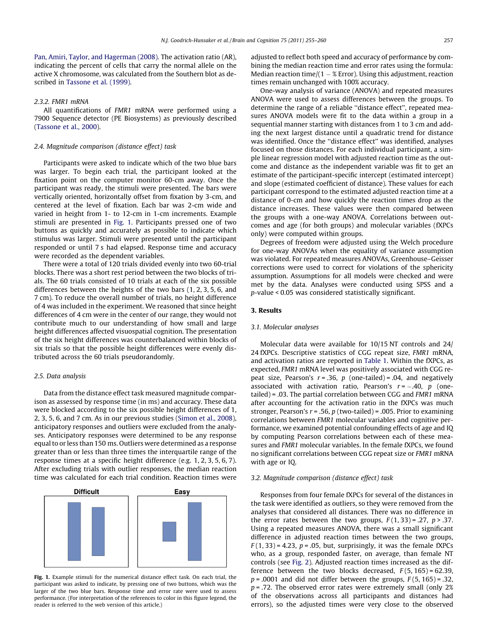[Pan, Amiri, Taylor, and Hagerman \(2008\).](#page-5-0) The activation ratio (AR), indicating the percent of cells that carry the normal allele on the active X chromosome, was calculated from the Southern blot as described in [Tassone et al. \(1999\)](#page-5-0).

## 2.3.2. FMR1 mRNA

All quantifications of FMR1 mRNA were performed using a 7900 Sequence detector (PE Biosystems) as previously described ([Tassone et al., 2000](#page-5-0)).

#### 2.4. Magnitude comparison (distance effect) task

Participants were asked to indicate which of the two blue bars was larger. To begin each trial, the participant looked at the fixation point on the computer monitor 60-cm away. Once the participant was ready, the stimuli were presented. The bars were vertically oriented, horizontally offset from fixation by 3-cm, and centered at the level of fixation. Each bar was 2-cm wide and varied in height from 1- to 12-cm in 1-cm increments. Example stimuli are presented in Fig. 1. Participants pressed one of two buttons as quickly and accurately as possible to indicate which stimulus was larger. Stimuli were presented until the participant responded or until 7 s had elapsed. Response time and accuracy were recorded as the dependent variables.

There were a total of 120 trials divided evenly into two 60-trial blocks. There was a short rest period between the two blocks of trials. The 60 trials consisted of 10 trials at each of the six possible differences between the heights of the two bars (1, 2, 3, 5, 6, and 7 cm). To reduce the overall number of trials, no height difference of 4 was included in the experiment. We reasoned that since height differences of 4 cm were in the center of our range, they would not contribute much to our understanding of how small and large height differences affected visuospatial cognition. The presentation of the six height differences was counterbalanced within blocks of six trials so that the possible height differences were evenly distributed across the 60 trials pseudorandomly.

## 2.5. Data analysis

Data from the distance effect task measured magnitude comparison as assessed by response time (in ms) and accuracy. These data were blocked according to the six possible height differences of 1, 2, 3, 5, 6, and 7 cm. As in our previous studies [\(Simon et al., 2008\)](#page-5-0), anticipatory responses and outliers were excluded from the analyses. Anticipatory responses were determined to be any response equal to or less than 150 ms. Outliers were determined as a response greater than or less than three times the interquartile range of the response times at a specific height difference (e.g. 1, 2, 3, 5, 6, 7). After excluding trials with outlier responses, the median reaction time was calculated for each trial condition. Reaction times were



Fig. 1. Example stimuli for the numerical distance effect task. On each trial, the participant was asked to indicate, by pressing one of two buttons, which was the larger of the two blue bars. Response time and error rate were used to assess performance. (For interpretation of the references to color in this figure legend, the reader is referred to the web version of this article.)

adjusted to reflect both speed and accuracy of performance by combining the median reaction time and error rates using the formula: Median reaction time/( $1 - %$  Error). Using this adjustment, reaction times remain unchanged with 100% accuracy.

One-way analysis of variance (ANOVA) and repeated measures ANOVA were used to assess differences between the groups. To determine the range of a reliable ''distance effect'', repeated measures ANOVA models were fit to the data within a group in a sequential manner starting with distances from 1 to 3 cm and adding the next largest distance until a quadratic trend for distance was identified. Once the ''distance effect'' was identified, analyses focused on those distances. For each individual participant, a simple linear regression model with adjusted reaction time as the outcome and distance as the independent variable was fit to get an estimate of the participant-specific intercept (estimated intercept) and slope (estimated coefficient of distance). These values for each participant correspond to the estimated adjusted reaction time at a distance of 0-cm and how quickly the reaction times drop as the distance increases. These values were then compared between the groups with a one-way ANOVA. Correlations between outcomes and age (for both groups) and molecular variables (fXPCs only) were computed within groups.

Degrees of freedom were adjusted using the Welch procedure for one-way ANOVAs when the equality of variance assumption was violated. For repeated measures ANOVAs, Greenhouse–Geisser corrections were used to correct for violations of the sphericity assumption. Assumptions for all models were checked and were met by the data. Analyses were conducted using SPSS and a p-value < 0.05 was considered statistically significant.

#### 3. Results

## 3.1. Molecular analyses

Molecular data were available for 10/15 NT controls and 24/ 24 fXPCs. Descriptive statistics of CGG repeat size, FMR1 mRNA, and activation ratios are reported in [Table 1](#page-1-0). Within the fXPCs, as expected, FMR1 mRNA level was positively associated with CGG repeat size, Pearson's  $r = .36$ ,  $p$  (one-tailed) = .04, and negatively associated with activation ratio, Pearson's  $r = -.40$ , p (onetailed) = .03. The partial correlation between CGG and FMR1 mRNA after accounting for the activation ratio in the fXPCs was much stronger, Pearson's  $r = .56$ ,  $p$  (two-tailed) = .005. Prior to examining correlations between FMR1 molecular variables and cognitive performance, we examined potential confounding effects of age and IQ by computing Pearson correlations between each of these measures and FMR1 molecular variables. In the female fXPCs, we found no significant correlations between CGG repeat size or FMR1 mRNA with age or IQ.

#### 3.2. Magnitude comparison (distance effect) task

Responses from four female fXPCs for several of the distances in the task were identified as outliers, so they were removed from the analyses that considered all distances. There was no difference in the error rates between the two groups,  $F(1, 33) = .27$ ,  $p > .37$ . Using a repeated measures ANOVA, there was a small significant difference in adjusted reaction times between the two groups,  $F(1, 33) = 4.23$ ,  $p = .05$ , but, surprisingly, it was the female fXPCs who, as a group, responded faster, on average, than female NT controls (see [Fig. 2](#page-3-0)). Adjusted reaction times increased as the difference between the two blocks decreased,  $F(5, 165) = 62.39$ ,  $p = .0001$  and did not differ between the groups,  $F(5, 165) = .32$ ,  $p = 0.72$ . The observed error rates were extremely small (only 2%) of the observations across all participants and distances had errors), so the adjusted times were very close to the observed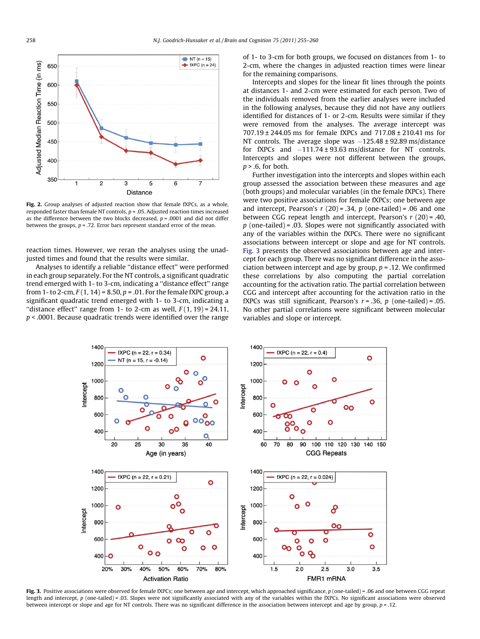<span id="page-3-0"></span>

Fig. 2. Group analyses of adjusted reaction show that female fXPCs, as a whole, responded faster than female NT controls,  $p = .05$ . Adjusted reaction times increased as the difference between the two blocks decreased,  $p = .0001$  and did not differ between the groups,  $p = .72$ . Error bars represent standard error of the mean.

reaction times. However, we reran the analyses using the unadjusted times and found that the results were similar.

Analyses to identify a reliable ''distance effect'' were performed in each group separately. For the NT controls, a significant quadratic trend emerged with 1- to 3-cm, indicating a ''distance effect'' range from 1- to 2-cm,  $F(1, 14) = 8.50$ ,  $p = .01$ . For the female fXPC group, a significant quadratic trend emerged with 1- to 3-cm, indicating a "distance effect" range from 1- to 2-cm as well,  $F(1, 19) = 24.11$ ,  $p$  < .0001. Because quadratic trends were identified over the range

of 1- to 3-cm for both groups, we focused on distances from 1- to 2-cm, where the changes in adjusted reaction times were linear for the remaining comparisons.

Intercepts and slopes for the linear fit lines through the points at distances 1- and 2-cm were estimated for each person. Two of the individuals removed from the earlier analyses were included in the following analyses, because they did not have any outliers identified for distances of 1- or 2-cm. Results were similar if they were removed from the analyses. The average intercept was 707.19 ± 244.05 ms for female fXPCs and 717.08 ± 210.41 ms for NT controls. The average slope was  $-125.48 \pm 92.89$  ms/distance for fXPCs and  $-111.74 \pm 93.63$  ms/distance for NT controls. Intercepts and slopes were not different between the groups,  $p > .6$ , for both.

Further investigation into the intercepts and slopes within each group assessed the association between these measures and age (both groups) and molecular variables (in the female fXPCs). There were two positive associations for female fXPCs; one between age and intercept, Pearson's  $r(20) = .34$ ,  $p(one-tailed) = .06$  and one between CGG repeat length and intercept, Pearson's  $r(20) = .40$ ,  $p$  (one-tailed) = .03. Slopes were not significantly associated with any of the variables within the fXPCs. There were no significant associations between intercept or slope and age for NT controls. Fig. 3 presents the observed associations between age and intercept for each group. There was no significant difference in the association between intercept and age by group,  $p = .12$ . We confirmed these correlations by also computing the partial correlation accounting for the activation ratio. The partial correlation between CGG and intercept after accounting for the activation ratio in the fXPCs was still significant, Pearson's  $r = .36$ ,  $p$  (one-tailed) = .05. No other partial correlations were significant between molecular variables and slope or intercept.



Fig. 3. Positive associations were observed for female fXPCs; one between age and intercept, which approached significance,  $p$  (one-tailed) = .06 and one between CGG repeat length and intercept, p (one-tailed) = .03. Slopes were not significantly associated with any of the variables within the fXPCs. No significant associations were observed between intercept or slope and age for NT controls. There was no significant difference in the association between intercept and age by group,  $p = 0.12$ .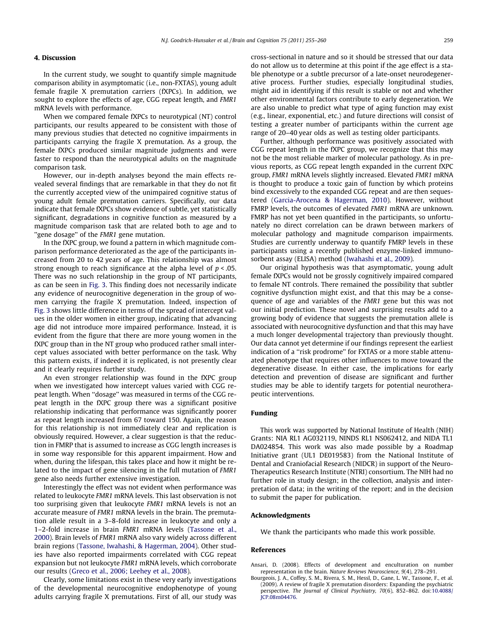# <span id="page-4-0"></span>4. Discussion

In the current study, we sought to quantify simple magnitude comparison ability in asymptomatic (i.e., non-FXTAS), young adult female fragile X premutation carriers (fXPCs). In addition, we sought to explore the effects of age, CGG repeat length, and FMR1 mRNA levels with performance.

When we compared female fXPCs to neurotypical (NT) control participants, our results appeared to be consistent with those of many previous studies that detected no cognitive impairments in participants carrying the fragile X premutation. As a group, the female fXPCs produced similar magnitude judgments and were faster to respond than the neurotypical adults on the magnitude comparison task.

However, our in-depth analyses beyond the main effects revealed several findings that are remarkable in that they do not fit the currently accepted view of the unimpaired cognitive status of young adult female premutation carriers. Specifically, our data indicate that female fXPCs show evidence of subtle, yet statistically significant, degradations in cognitive function as measured by a magnitude comparison task that are related both to age and to ''gene dosage'' of the FMR1 gene mutation.

In the fXPC group, we found a pattern in which magnitude comparison performance deteriorated as the age of the participants increased from 20 to 42 years of age. This relationship was almost strong enough to reach significance at the alpha level of  $p < .05$ . There was no such relationship in the group of NT participants, as can be seen in [Fig. 3](#page-3-0). This finding does not necessarily indicate any evidence of neurocognitive degeneration in the group of women carrying the fragile X premutation. Indeed, inspection of [Fig. 3](#page-3-0) shows little difference in terms of the spread of intercept values in the older women in either group, indicating that advancing age did not introduce more impaired performance. Instead, it is evident from the figure that there are more young women in the fXPC group than in the NT group who produced rather small intercept values associated with better performance on the task. Why this pattern exists, if indeed it is replicated, is not presently clear and it clearly requires further study.

An even stronger relationship was found in the fXPC group when we investigated how intercept values varied with CGG repeat length. When ''dosage'' was measured in terms of the CGG repeat length in the fXPC group there was a significant positive relationship indicating that performance was significantly poorer as repeat length increased from 67 toward 150. Again, the reason for this relationship is not immediately clear and replication is obviously required. However, a clear suggestion is that the reduction in FMRP that is assumed to increase as CGG length increases is in some way responsible for this apparent impairment. How and when, during the lifespan, this takes place and how it might be related to the impact of gene silencing in the full mutation of FMR1 gene also needs further extensive investigation.

Interestingly the effect was not evident when performance was related to leukocyte FMR1 mRNA levels. This last observation is not too surprising given that leukocyte FMR1 mRNA levels is not an accurate measure of FMR1 mRNA levels in the brain. The premutation allele result in a 3–8-fold increase in leukocyte and only a 1–2-fold increase in brain FMR1 mRNA levels [\(Tassone et al.,](#page-5-0) [2000](#page-5-0)). Brain levels of FMR1 mRNA also vary widely across different brain regions [\(Tassone, Iwahashi, & Hagerman, 2004](#page-5-0)). Other studies have also reported impairments correlated with CGG repeat expansion but not leukocyte FMR1 mRNA levels, which corroborate our results [\(Greco et al., 2006; Leehey et al., 2008](#page-5-0)).

Clearly, some limitations exist in these very early investigations of the developmental neurocognitive endophenotype of young adults carrying fragile X premutations. First of all, our study was cross-sectional in nature and so it should be stressed that our data do not allow us to determine at this point if the age effect is a stable phenotype or a subtle precursor of a late-onset neurodegenerative process. Further studies, especially longitudinal studies, might aid in identifying if this result is stable or not and whether other environmental factors contribute to early degeneration. We are also unable to predict what type of aging function may exist (e.g., linear, exponential, etc.) and future directions will consist of testing a greater number of participants within the current age range of 20–40 year olds as well as testing older participants.

Further, although performance was positively associated with CGG repeat length in the fXPC group, we recognize that this may not be the most reliable marker of molecular pathology. As in previous reports, as CGG repeat length expanded in the current fXPC group, FMR1 mRNA levels slightly increased. Elevated FMR1 mRNA is thought to produce a toxic gain of function by which proteins bind excessively to the expanded CGG repeat and are then sequestered ([Garcia-Arocena & Hagerman, 2010](#page-5-0)). However, without FMRP levels, the outcomes of elevated FMR1 mRNA are unknown. FMRP has not yet been quantified in the participants, so unfortunately no direct correlation can be drawn between markers of molecular pathology and magnitude comparison impairments. Studies are currently underway to quantify FMRP levels in these participants using a recently published enzyme-linked immunosorbent assay (ELISA) method [\(Iwahashi et al., 2009](#page-5-0)).

Our original hypothesis was that asymptomatic, young adult female fXPCs would not be grossly cognitively impaired compared to female NT controls. There remained the possibility that subtler cognitive dysfunction might exist, and that this may be a consequence of age and variables of the FMR1 gene but this was not our initial prediction. These novel and surprising results add to a growing body of evidence that suggests the premutation allele is associated with neurocognitive dysfunction and that this may have a much longer developmental trajectory than previously thought. Our data cannot yet determine if our findings represent the earliest indication of a ''risk prodrome'' for FXTAS or a more stable attenuated phenotype that requires other influences to move toward the degenerative disease. In either case, the implications for early detection and prevention of disease are significant and further studies may be able to identify targets for potential neurotherapeutic interventions.

# Funding

This work was supported by National Institute of Health (NIH) Grants: NIA RL1 AG032119, NINDS RL1 NS062412, and NIDA TL1 DA024854. This work was also made possible by a Roadmap Initiative grant (UL1 DE019583) from the National Institute of Dental and Craniofacial Research (NIDCR) in support of the Neuro-Therapeutics Research Institute (NTRI) consortium. The NIH had no further role in study design; in the collection, analysis and interpretation of data; in the writing of the report; and in the decision to submit the paper for publication.

#### Acknowledgments

We thank the participants who made this work possible.

## References

Ansari, D. (2008). Effects of development and enculturation on number representation in the brain. Nature Reviews Neuroscience, 9(4), 278–291.

Bourgeois, J. A., Coffey, S. M., Rivera, S. M., Hessl, D., Gane, L. W., Tassone, F., et al. (2009). A review of fragile X premutation disorders: Expanding the psychiatric perspective. The Journal of Clinical Psychiatry, 70(6), 852–862. doi:[10.4088/](http://dx.doi.org/10.4088/JCP.08m04476) [JCP.08m04476.](http://dx.doi.org/10.4088/JCP.08m04476)